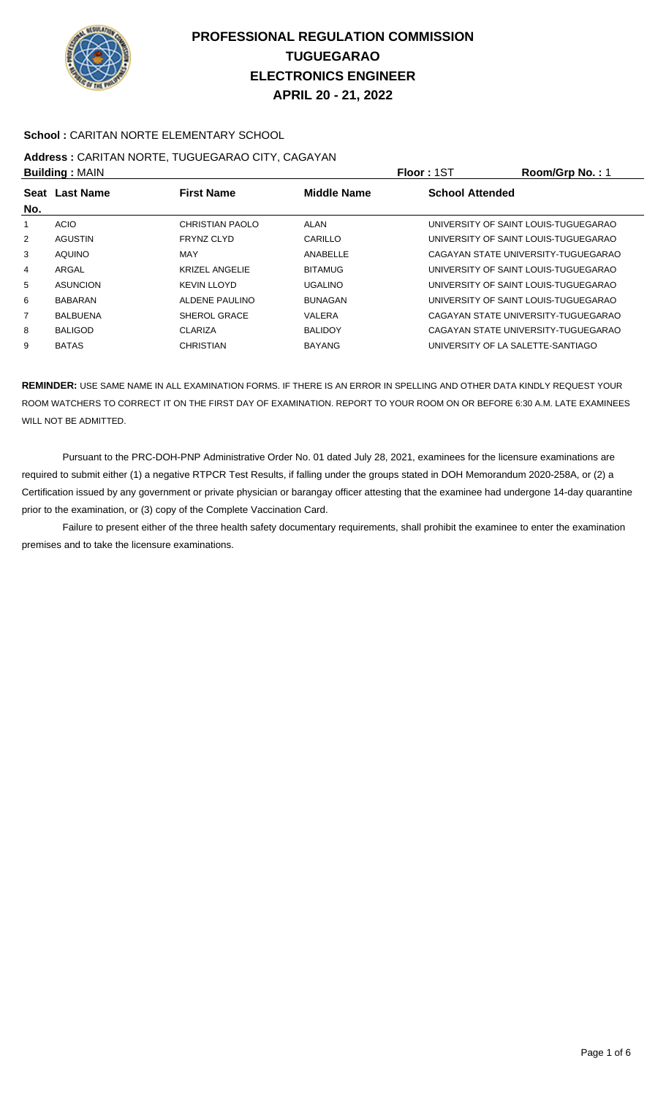

### **School :** CARITAN NORTE ELEMENTARY SCHOOL

#### **Address :** CARITAN NORTE, TUGUEGARAO CITY, CAGAYAN **Building :** MAIN **Floor :** 1ST **Room/Grp No. :** 1

| P              |                                                             |                       | .              | 1.00111011111011111                  |
|----------------|-------------------------------------------------------------|-----------------------|----------------|--------------------------------------|
| Seat           | <b>Middle Name</b><br><b>Last Name</b><br><b>First Name</b> |                       |                | <b>School Attended</b>               |
| No.            |                                                             |                       |                |                                      |
|                | <b>ACIO</b>                                                 | CHRISTIAN PAOLO       | ALAN           | UNIVERSITY OF SAINT LOUIS-TUGUEGARAO |
| $\overline{2}$ | <b>AGUSTIN</b>                                              | <b>FRYNZ CLYD</b>     | CARILLO        | UNIVERSITY OF SAINT LOUIS-TUGUEGARAO |
| 3              | <b>AQUINO</b>                                               | MAY                   | ANABELLE       | CAGAYAN STATE UNIVERSITY-TUGUEGARAO  |
| 4              | ARGAL                                                       | <b>KRIZEL ANGELIE</b> | <b>BITAMUG</b> | UNIVERSITY OF SAINT LOUIS-TUGUEGARAO |
| 5              | <b>ASUNCION</b>                                             | <b>KEVIN LLOYD</b>    | <b>UGALINO</b> | UNIVERSITY OF SAINT LOUIS-TUGUEGARAO |
| 6              | <b>BABARAN</b>                                              | ALDENE PAULINO        | <b>BUNAGAN</b> | UNIVERSITY OF SAINT LOUIS-TUGUEGARAO |
| 7              | <b>BALBUENA</b>                                             | SHEROL GRACE          | VALERA         | CAGAYAN STATE UNIVERSITY-TUGUEGARAO  |
| 8              | <b>BALIGOD</b>                                              | CLARIZA               | <b>BALIDOY</b> | CAGAYAN STATE UNIVERSITY-TUGUEGARAO  |
| 9              | <b>BATAS</b>                                                | <b>CHRISTIAN</b>      | <b>BAYANG</b>  | UNIVERSITY OF LA SALETTE-SANTIAGO    |
|                |                                                             |                       |                |                                      |

**REMINDER:** USE SAME NAME IN ALL EXAMINATION FORMS. IF THERE IS AN ERROR IN SPELLING AND OTHER DATA KINDLY REQUEST YOUR ROOM WATCHERS TO CORRECT IT ON THE FIRST DAY OF EXAMINATION. REPORT TO YOUR ROOM ON OR BEFORE 6:30 A.M. LATE EXAMINEES WILL NOT BE ADMITTED.

 Pursuant to the PRC-DOH-PNP Administrative Order No. 01 dated July 28, 2021, examinees for the licensure examinations are required to submit either (1) a negative RTPCR Test Results, if falling under the groups stated in DOH Memorandum 2020-258A, or (2) a Certification issued by any government or private physician or barangay officer attesting that the examinee had undergone 14-day quarantine prior to the examination, or (3) copy of the Complete Vaccination Card.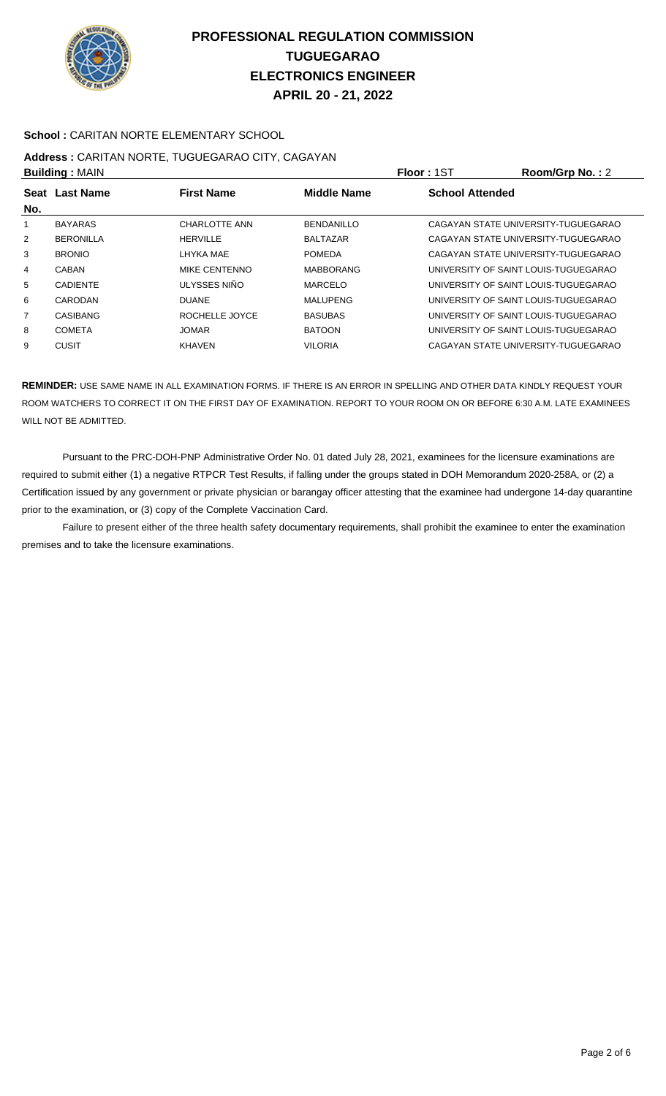

### **School :** CARITAN NORTE ELEMENTARY SCHOOL

### **Address :** CARITAN NORTE, TUGUEGARAO CITY, CAGAYAN **Building :** MAIN **Floor :** 1ST **Room/Grp No. :** 2

|                    | <b>DURING A MILITY</b> |                      |                    | .                                    |
|--------------------|------------------------|----------------------|--------------------|--------------------------------------|
| <b>Seat</b><br>No. | <b>Last Name</b>       | <b>First Name</b>    | <b>Middle Name</b> | <b>School Attended</b>               |
|                    | <b>BAYARAS</b>         | <b>CHARLOTTE ANN</b> | <b>BENDANILLO</b>  | CAGAYAN STATE UNIVERSITY-TUGUEGARAO  |
| $\overline{2}$     | <b>BERONILLA</b>       | <b>HERVILLE</b>      | <b>BALTAZAR</b>    | CAGAYAN STATE UNIVERSITY-TUGUEGARAO  |
| 3                  | <b>BRONIO</b>          | LHYKA MAE            | <b>POMEDA</b>      | CAGAYAN STATE UNIVERSITY-TUGUEGARAO  |
| 4                  | CABAN                  | MIKE CENTENNO        | <b>MABBORANG</b>   | UNIVERSITY OF SAINT LOUIS-TUGUEGARAO |
| 5                  | <b>CADIENTE</b>        | ULYSSES NIÑO         | <b>MARCELO</b>     | UNIVERSITY OF SAINT LOUIS-TUGUEGARAO |
| 6                  | CARODAN                | <b>DUANE</b>         | <b>MALUPENG</b>    | UNIVERSITY OF SAINT LOUIS-TUGUEGARAO |
| 7                  | CASIBANG               | ROCHELLE JOYCE       | <b>BASUBAS</b>     | UNIVERSITY OF SAINT LOUIS-TUGUEGARAO |
| 8                  | <b>COMETA</b>          | <b>JOMAR</b>         | <b>BATOON</b>      | UNIVERSITY OF SAINT LOUIS-TUGUEGARAO |
| 9                  | <b>CUSIT</b>           | <b>KHAVEN</b>        | <b>VILORIA</b>     | CAGAYAN STATE UNIVERSITY-TUGUEGARAO  |
|                    |                        |                      |                    |                                      |

**REMINDER:** USE SAME NAME IN ALL EXAMINATION FORMS. IF THERE IS AN ERROR IN SPELLING AND OTHER DATA KINDLY REQUEST YOUR ROOM WATCHERS TO CORRECT IT ON THE FIRST DAY OF EXAMINATION. REPORT TO YOUR ROOM ON OR BEFORE 6:30 A.M. LATE EXAMINEES WILL NOT BE ADMITTED.

 Pursuant to the PRC-DOH-PNP Administrative Order No. 01 dated July 28, 2021, examinees for the licensure examinations are required to submit either (1) a negative RTPCR Test Results, if falling under the groups stated in DOH Memorandum 2020-258A, or (2) a Certification issued by any government or private physician or barangay officer attesting that the examinee had undergone 14-day quarantine prior to the examination, or (3) copy of the Complete Vaccination Card.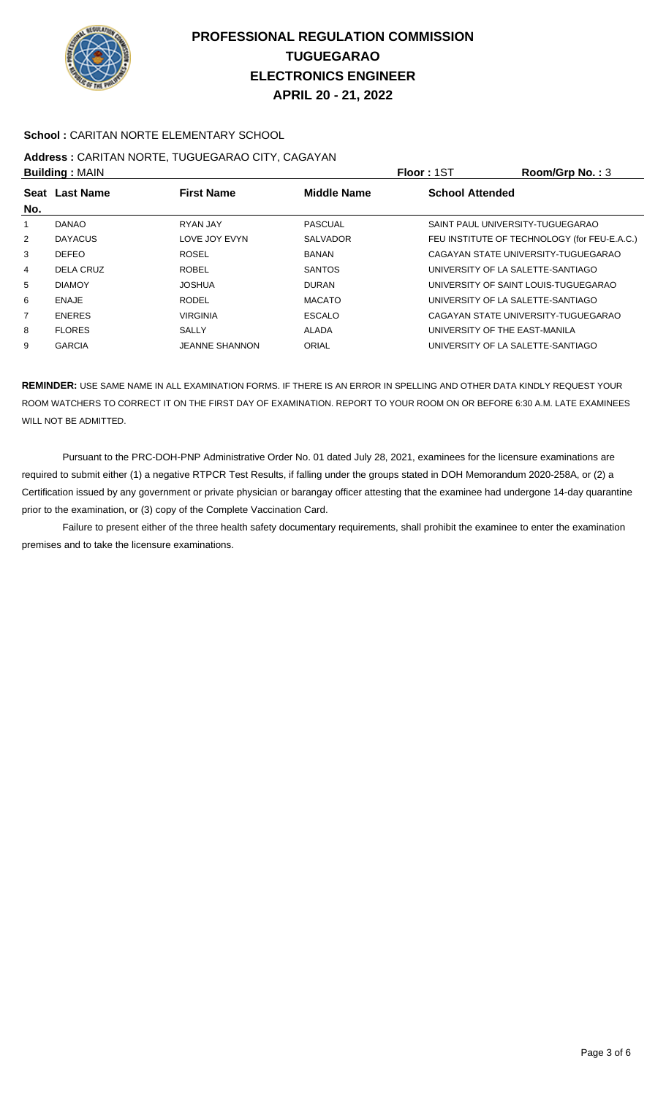

### **School :** CARITAN NORTE ELEMENTARY SCHOOL

## **Address :** CARITAN NORTE, TUGUEGARAO CITY, CAGAYAN

| <b>Building: MAIN</b> |                |                       |                    | Floor: 1ST                        | Room/Grp No.: $3$                            |
|-----------------------|----------------|-----------------------|--------------------|-----------------------------------|----------------------------------------------|
| No.                   | Seat Last Name | <b>First Name</b>     | <b>Middle Name</b> | <b>School Attended</b>            |                                              |
|                       | <b>DANAO</b>   | RYAN JAY              | <b>PASCUAL</b>     | SAINT PAUL UNIVERSITY-TUGUEGARAO  |                                              |
| 2                     | <b>DAYACUS</b> | LOVE JOY EVYN         | <b>SALVADOR</b>    |                                   | FEU INSTITUTE OF TECHNOLOGY (for FEU-E.A.C.) |
| 3                     | <b>DEFEO</b>   | <b>ROSEL</b>          | <b>BANAN</b>       |                                   | CAGAYAN STATE UNIVERSITY-TUGUEGARAO          |
| 4                     | DELA CRUZ      | <b>ROBEL</b>          | <b>SANTOS</b>      | UNIVERSITY OF LA SALETTE-SANTIAGO |                                              |
| 5                     | <b>DIAMOY</b>  | <b>JOSHUA</b>         | <b>DURAN</b>       |                                   | UNIVERSITY OF SAINT LOUIS-TUGUEGARAO         |
| 6                     | <b>ENAJE</b>   | <b>RODEL</b>          | <b>MACATO</b>      | UNIVERSITY OF LA SALETTE-SANTIAGO |                                              |
| 7                     | <b>ENERES</b>  | <b>VIRGINIA</b>       | <b>ESCALO</b>      |                                   | CAGAYAN STATE UNIVERSITY-TUGUEGARAO          |
| 8                     | <b>FLORES</b>  | <b>SALLY</b>          | <b>ALADA</b>       | UNIVERSITY OF THE EAST-MANILA     |                                              |
| 9                     | <b>GARCIA</b>  | <b>JEANNE SHANNON</b> | ORIAL              | UNIVERSITY OF LA SALETTE-SANTIAGO |                                              |
|                       |                |                       |                    |                                   |                                              |

**REMINDER:** USE SAME NAME IN ALL EXAMINATION FORMS. IF THERE IS AN ERROR IN SPELLING AND OTHER DATA KINDLY REQUEST YOUR ROOM WATCHERS TO CORRECT IT ON THE FIRST DAY OF EXAMINATION. REPORT TO YOUR ROOM ON OR BEFORE 6:30 A.M. LATE EXAMINEES WILL NOT BE ADMITTED.

 Pursuant to the PRC-DOH-PNP Administrative Order No. 01 dated July 28, 2021, examinees for the licensure examinations are required to submit either (1) a negative RTPCR Test Results, if falling under the groups stated in DOH Memorandum 2020-258A, or (2) a Certification issued by any government or private physician or barangay officer attesting that the examinee had undergone 14-day quarantine prior to the examination, or (3) copy of the Complete Vaccination Card.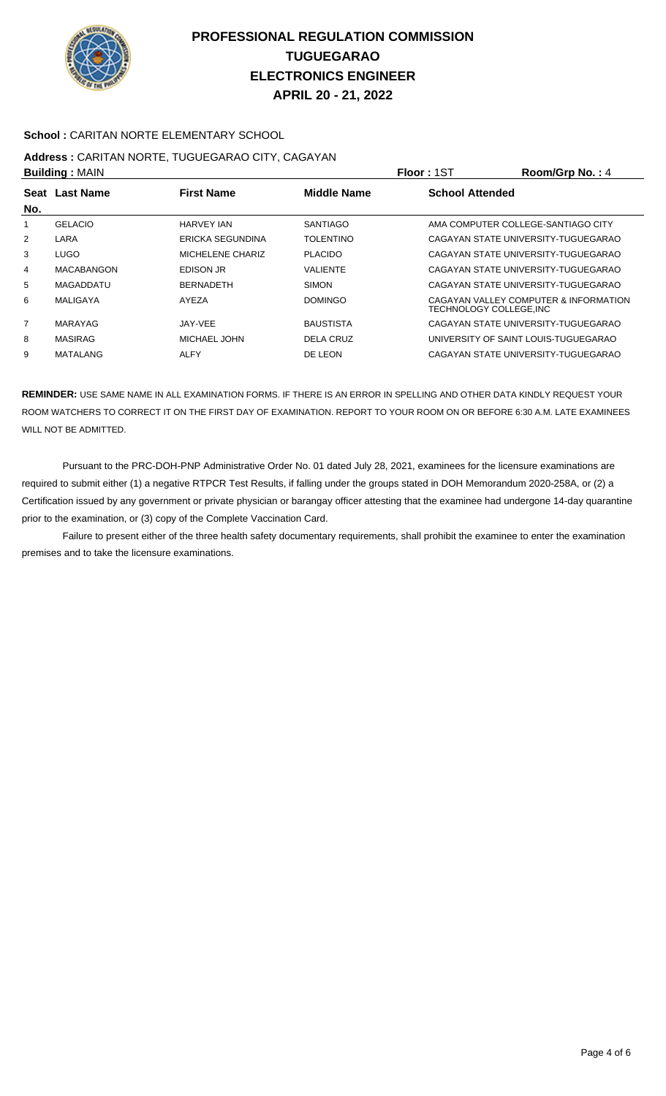

### **School :** CARITAN NORTE ELEMENTARY SCHOOL

# **Address :** CARITAN NORTE, TUGUEGARAO CITY, CAGAYAN

| <b>Building: MAIN</b> |                   |                   | Floor: 1ST         | Room/Grp No.: 4        |                                                                 |
|-----------------------|-------------------|-------------------|--------------------|------------------------|-----------------------------------------------------------------|
|                       | Seat Last Name    | <b>First Name</b> | <b>Middle Name</b> | <b>School Attended</b> |                                                                 |
| No.                   |                   |                   |                    |                        |                                                                 |
|                       | <b>GELACIO</b>    | HARVEY IAN        | <b>SANTIAGO</b>    |                        | AMA COMPUTER COLLEGE-SANTIAGO CITY                              |
| $\overline{2}$        | LARA              | ERICKA SEGUNDINA  | <b>TOLENTINO</b>   |                        | CAGAYAN STATE UNIVERSITY-TUGUEGARAO                             |
| 3                     | LUGO.             | MICHELENE CHARIZ  | <b>PLACIDO</b>     |                        | CAGAYAN STATE UNIVERSITY-TUGUEGARAO                             |
| 4                     | <b>MACABANGON</b> | EDISON JR         | <b>VALIENTE</b>    |                        | CAGAYAN STATE UNIVERSITY-TUGUEGARAO                             |
| 5                     | MAGADDATU         | <b>BERNADETH</b>  | <b>SIMON</b>       |                        | CAGAYAN STATE UNIVERSITY-TUGUEGARAO                             |
| 6                     | MALIGAYA          | AYF7A             | <b>DOMINGO</b>     |                        | CAGAYAN VALLEY COMPUTER & INFORMATION<br>TECHNOLOGY COLLEGE.INC |
| $\overline{7}$        | MARAYAG           | JAY-VEE           | <b>BAUSTISTA</b>   |                        | CAGAYAN STATE UNIVERSITY-TUGUEGARAO                             |
| 8                     | <b>MASIRAG</b>    | MICHAEL JOHN      | DELA CRUZ          |                        | UNIVERSITY OF SAINT LOUIS-TUGUEGARAO                            |
| 9                     | MATALANG          | ALFY              | DE LEON            |                        | CAGAYAN STATE UNIVERSITY-TUGUEGARAO                             |

**REMINDER:** USE SAME NAME IN ALL EXAMINATION FORMS. IF THERE IS AN ERROR IN SPELLING AND OTHER DATA KINDLY REQUEST YOUR ROOM WATCHERS TO CORRECT IT ON THE FIRST DAY OF EXAMINATION. REPORT TO YOUR ROOM ON OR BEFORE 6:30 A.M. LATE EXAMINEES WILL NOT BE ADMITTED.

 Pursuant to the PRC-DOH-PNP Administrative Order No. 01 dated July 28, 2021, examinees for the licensure examinations are required to submit either (1) a negative RTPCR Test Results, if falling under the groups stated in DOH Memorandum 2020-258A, or (2) a Certification issued by any government or private physician or barangay officer attesting that the examinee had undergone 14-day quarantine prior to the examination, or (3) copy of the Complete Vaccination Card.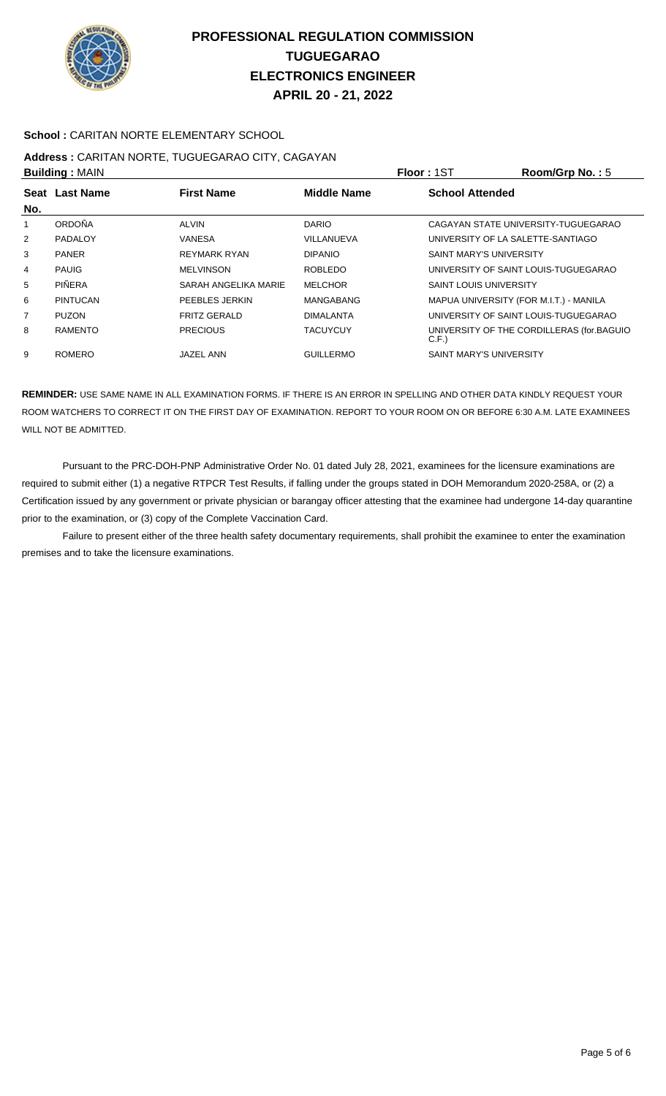

### **School :** CARITAN NORTE ELEMENTARY SCHOOL

# **Address :** CARITAN NORTE, TUGUEGARAO CITY, CAGAYAN

| <b>Building: MAIN</b> |                 |                      |                    | Room/Grp No.: 5<br><b>Floor: 1ST</b>              |
|-----------------------|-----------------|----------------------|--------------------|---------------------------------------------------|
|                       | Seat Last Name  | <b>First Name</b>    | <b>Middle Name</b> | <b>School Attended</b>                            |
| No.                   |                 |                      |                    |                                                   |
|                       | ORDOÑA          | <b>ALVIN</b>         | <b>DARIO</b>       | CAGAYAN STATE UNIVERSITY-TUGUEGARAO               |
| $\overline{2}$        | <b>PADALOY</b>  | VANESA               | VILLANUEVA         | UNIVERSITY OF LA SALETTE-SANTIAGO                 |
| 3                     | <b>PANER</b>    | <b>REYMARK RYAN</b>  | <b>DIPANIO</b>     | <b>SAINT MARY'S UNIVERSITY</b>                    |
| 4                     | <b>PAUIG</b>    | <b>MELVINSON</b>     | <b>ROBLEDO</b>     | UNIVERSITY OF SAINT LOUIS-TUGUEGARAO              |
| 5                     | PIÑERA          | SARAH ANGELIKA MARIE | <b>MELCHOR</b>     | <b>SAINT LOUIS UNIVERSITY</b>                     |
| 6                     | <b>PINTUCAN</b> | PEEBLES JERKIN       | <b>MANGABANG</b>   | MAPUA UNIVERSITY (FOR M.I.T.) - MANILA            |
| 7                     | <b>PUZON</b>    | <b>FRITZ GERALD</b>  | <b>DIMALANTA</b>   | UNIVERSITY OF SAINT LOUIS-TUGUEGARAO              |
| 8                     | <b>RAMENTO</b>  | <b>PRECIOUS</b>      | <b>TACUYCUY</b>    | UNIVERSITY OF THE CORDILLERAS (for.BAGUIO<br>C.F. |
| 9                     | <b>ROMERO</b>   | JAZEL ANN            | <b>GUILLERMO</b>   | <b>SAINT MARY'S UNIVERSITY</b>                    |

**REMINDER:** USE SAME NAME IN ALL EXAMINATION FORMS. IF THERE IS AN ERROR IN SPELLING AND OTHER DATA KINDLY REQUEST YOUR ROOM WATCHERS TO CORRECT IT ON THE FIRST DAY OF EXAMINATION. REPORT TO YOUR ROOM ON OR BEFORE 6:30 A.M. LATE EXAMINEES WILL NOT BE ADMITTED.

 Pursuant to the PRC-DOH-PNP Administrative Order No. 01 dated July 28, 2021, examinees for the licensure examinations are required to submit either (1) a negative RTPCR Test Results, if falling under the groups stated in DOH Memorandum 2020-258A, or (2) a Certification issued by any government or private physician or barangay officer attesting that the examinee had undergone 14-day quarantine prior to the examination, or (3) copy of the Complete Vaccination Card.